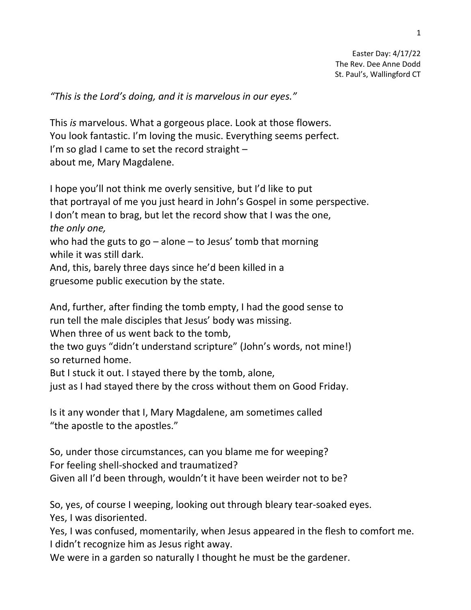*"This is the Lord's doing, and it is marvelous in our eyes."*

This *is* marvelous. What a gorgeous place. Look at those flowers. You look fantastic. I'm loving the music. Everything seems perfect. I'm so glad I came to set the record straight  $$ about me, Mary Magdalene.

I hope you'll not think me overly sensitive, but I'd like to put that portrayal of me you just heard in John's Gospel in some perspective. I don't mean to brag, but let the record show that I was the one, *the only one,* who had the guts to go  $-$  alone  $-$  to Jesus' tomb that morning while it was still dark. And, this, barely three days since he'd been killed in a gruesome public execution by the state.

And, further, after finding the tomb empty, I had the good sense to run tell the male disciples that Jesus' body was missing.

When three of us went back to the tomb,

the two guys "didn't understand scripture" (John's words, not mine!) so returned home.

But I stuck it out. I stayed there by the tomb, alone,

just as I had stayed there by the cross without them on Good Friday.

Is it any wonder that I, Mary Magdalene, am sometimes called "the apostle to the apostles."

So, under those circumstances, can you blame me for weeping? For feeling shell-shocked and traumatized? Given all I'd been through, wouldn't it have been weirder not to be?

So, yes, of course I weeping, looking out through bleary tear-soaked eyes. Yes, I was disoriented.

Yes, I was confused, momentarily, when Jesus appeared in the flesh to comfort me. I didn't recognize him as Jesus right away.

We were in a garden so naturally I thought he must be the gardener.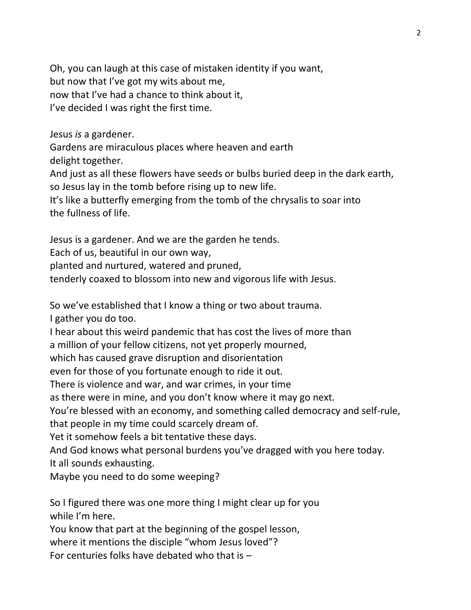Oh, you can laugh at this case of mistaken identity if you want, but now that I've got my wits about me, now that I've had a chance to think about it, I've decided I was right the first time.

Jesus *is* a gardener.

Gardens are miraculous places where heaven and earth delight together.

And just as all these flowers have seeds or bulbs buried deep in the dark earth, so Jesus lay in the tomb before rising up to new life.

It's like a butterfly emerging from the tomb of the chrysalis to soar into the fullness of life.

Jesus is a gardener. And we are the garden he tends.

Each of us, beautiful in our own way,

planted and nurtured, watered and pruned,

tenderly coaxed to blossom into new and vigorous life with Jesus.

So we've established that I know a thing or two about trauma.

I gather you do too.

I hear about this weird pandemic that has cost the lives of more than

a million of your fellow citizens, not yet properly mourned,

which has caused grave disruption and disorientation

even for those of you fortunate enough to ride it out.

There is violence and war, and war crimes, in your time

as there were in mine, and you don't know where it may go next.

You're blessed with an economy, and something called democracy and self-rule, that people in my time could scarcely dream of.

Yet it somehow feels a bit tentative these days.

And God knows what personal burdens you've dragged with you here today. It all sounds exhausting.

Maybe you need to do some weeping?

So I figured there was one more thing I might clear up for you while I'm here.

You know that part at the beginning of the gospel lesson,

where it mentions the disciple "whom Jesus loved"?

For centuries folks have debated who that is –